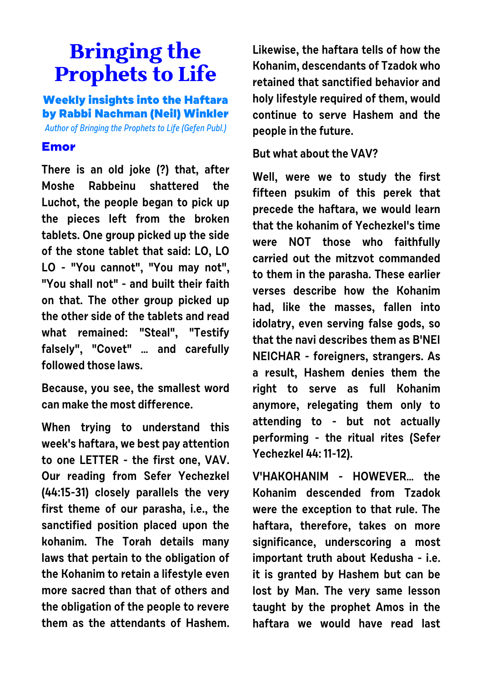## **Bringing the Prophets to Life**

**Weekly insights into the Haftara by Rabbi Nachman (Neil) Winkler**

Author of Bringing the Prophets to Life (Gefen Publ.)

## **Emor**

**There is an old joke (?) that, after Moshe Rabbeinu shattered the Luchot, the people began to pick up the pieces left from the broken tablets. One group picked up the side of the stone tablet that said: LO, LO LO - "You cannot", "You may not", "You shall not" - and built their faith on that. The other group picked up the other side of the tablets and read what remained: "Steal", "Testify falsely", "Covet" … and carefully followed those laws.**

**Because, you see, the smallest word can make the most difference.**

**When trying to understand this week's haftara, we best pay attention to one LETTER - the first one, VAV. Our reading from Sefer Yechezkel (44:15-31) closely parallels the very first theme of our parasha, i.e., the sanctified position placed upon the kohanim. The Torah details many laws that pertain to the obligation of the Kohanim to retain a lifestyle even more sacred than that of others and the obligation of the people to revere them as the attendants of Hashem.** **Likewise, the haftara tells of how the Kohanim, descendants of Tzadok who retained that sanctified behavior and holy lifestyle required of them, would continue to serve Hashem and the people in the future.**

## **But what about the VAV?**

**Well, were we to study the first fifteen psukim of this perek that precede the haftara, we would learn that the kohanim of Yechezkel's time were NOT those who faithfully carried out the mitzvot commanded to them in the parasha. These earlier verses describe how the Kohanim had, like the masses, fallen into idolatry, even serving false gods, so that the navi describes them as B'NEI NEICHAR - foreigners, strangers. As a result, Hashem denies them the right to serve as full Kohanim anymore, relegating them only to attending to - but not actually performing - the ritual rites (Sefer Yechezkel 44: 11-12).** 

**V'HAKOHANIM - HOWEVER… the Kohanim descended from Tzadok were the exception to that rule. The haftara, therefore, takes on more significance, underscoring a most important truth about Kedusha - i.e. it is granted by Hashem but can be lost by Man. The very same lesson taught by the prophet Amos in the haftara we would have read last**